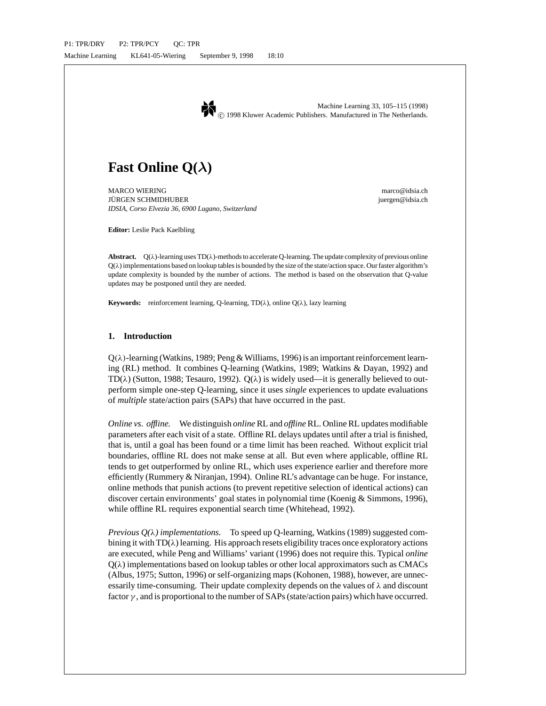

# **Fast Online Q(***λ***)**

MARCO WIERING marco with the contract of the contract of the contract of the marco of distance in the marco of the marco of distance in the marco of distance in the marco of the marco of the marco of the marco of the marco JURGEN SCHMIDHUBER juergen@idsia.ch ¨ *IDSIA, Corso Elvezia 36, 6900 Lugano, Switzerland*

**Editor:** Leslie Pack Kaelbling

**Abstract.**  $Q(\lambda)$ -learning uses TD( $\lambda$ )-methods to accelerate Q-learning. The update complexity of previous online  $Q(\lambda)$  implementations based on lookup tables is bounded by the size of the state/action space. Our faster algorithm's update complexity is bounded by the number of actions. The method is based on the observation that Q-value updates may be postponed until they are needed.

**Keywords:** reinforcement learning, Q-learning, TD(λ), online Q(λ), lazy learning

# **1. Introduction**

 $Q(\lambda)$ -learning (Watkins, 1989; Peng & Williams, 1996) is an important reinforcement learning (RL) method. It combines Q-learning (Watkins, 1989; Watkins & Dayan, 1992) and TD( $\lambda$ ) (Sutton, 1988; Tesauro, 1992). Q( $\lambda$ ) is widely used—it is generally believed to outperform simple one-step Q-learning, since it uses *single* experiences to update evaluations of *multiple* state/action pairs (SAPs) that have occurred in the past.

*Online vs. offline.* We distinguish *online* RL and *offline* RL. Online RL updates modifiable parameters after each visit of a state. Offline RL delays updates until after a trial is finished, that is, until a goal has been found or a time limit has been reached. Without explicit trial boundaries, offline RL does not make sense at all. But even where applicable, offline RL tends to get outperformed by online RL, which uses experience earlier and therefore more efficiently (Rummery & Niranjan, 1994). Online RL's advantage can be huge. For instance, online methods that punish actions (to prevent repetitive selection of identical actions) can discover certain environments' goal states in polynomial time (Koenig & Simmons, 1996), while offline RL requires exponential search time (Whitehead, 1992).

*Previous Q(*λ*) implementations.* To speed up Q-learning, Watkins (1989) suggested combining it with  $TD(\lambda)$  learning. His approach resets eligibility traces once exploratory actions are executed, while Peng and Williams' variant (1996) does not require this. Typical *online*  $Q(\lambda)$  implementations based on lookup tables or other local approximators such as CMACs (Albus, 1975; Sutton, 1996) or self-organizing maps (Kohonen, 1988), however, are unnecessarily time-consuming. Their update complexity depends on the values of  $\lambda$  and discount factor  $\gamma$ , and is proportional to the number of SAPs (state/action pairs) which have occurred.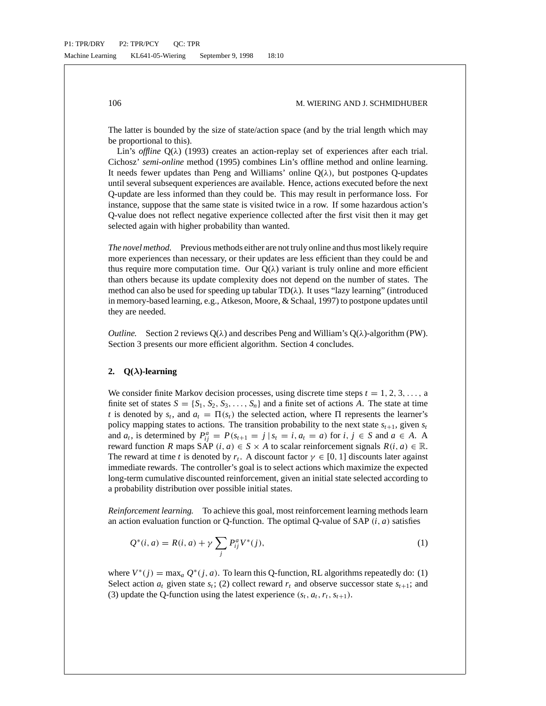The latter is bounded by the size of state/action space (and by the trial length which may be proportional to this).

Lin's *offline* Q(λ) (1993) creates an action-replay set of experiences after each trial. Cichosz' *semi-online* method (1995) combines Lin's offline method and online learning. It needs fewer updates than Peng and Williams' online  $Q(\lambda)$ , but postpones Q-updates until several subsequent experiences are available. Hence, actions executed before the next Q-update are less informed than they could be. This may result in performance loss. For instance, suppose that the same state is visited twice in a row. If some hazardous action's Q-value does not reflect negative experience collected after the first visit then it may get selected again with higher probability than wanted.

*The novel method.* Previous methods either are not truly online and thus most likely require more experiences than necessary, or their updates are less efficient than they could be and thus require more computation time. Our  $Q(\lambda)$  variant is truly online and more efficient than others because its update complexity does not depend on the number of states. The method can also be used for speeding up tabular  $TD(\lambda)$ . It uses "lazy learning" (introduced in memory-based learning, e.g., Atkeson, Moore, & Schaal, 1997) to postpone updates until they are needed.

*Outline.* Section 2 reviews  $Q(\lambda)$  and describes Peng and William's  $Q(\lambda)$ -algorithm (PW). Section 3 presents our more efficient algorithm. Section 4 concludes.

## **2. Q(***λ***)-learning**

We consider finite Markov decision processes, using discrete time steps  $t = 1, 2, 3, \ldots$ , a finite set of states  $S = \{S_1, S_2, S_3, \ldots, S_n\}$  and a finite set of actions A. The state at time *t* is denoted by  $s_t$ , and  $a_t = \Pi(s_t)$  the selected action, where  $\Pi$  represents the learner's policy mapping states to actions. The transition probability to the next state  $s_{t+1}$ , given  $s_t$ and  $a_t$ , is determined by  $P_{ij}^a = P(s_{t+1} = j | s_t = i, a_t = a)$  for  $i, j \in S$  and  $a \in A$ . A reward function *R* maps SAP (*i*, *a*)  $\in$  *S*  $\times$  *A* to scalar reinforcement signals  $R(i, a) \in \mathbb{R}$ . The reward at time *t* is denoted by  $r_t$ . A discount factor  $\gamma \in [0, 1]$  discounts later against immediate rewards. The controller's goal is to select actions which maximize the expected long-term cumulative discounted reinforcement, given an initial state selected according to a probability distribution over possible initial states.

*Reinforcement learning.* To achieve this goal, most reinforcement learning methods learn an action evaluation function or Q-function. The optimal Q-value of SAP (*i*, *a*) satisfies

$$
Q^*(i, a) = R(i, a) + \gamma \sum_j P_{ij}^a V^*(j),
$$
\n(1)

where  $V^*(j) = \max_a Q^*(j, a)$ . To learn this Q-function, RL algorithms repeatedly do: (1) Select action  $a_t$  given state  $s_t$ ; (2) collect reward  $r_t$  and observe successor state  $s_{t+1}$ ; and (3) update the Q-function using the latest experience  $(s_t, a_t, r_t, s_{t+1})$ .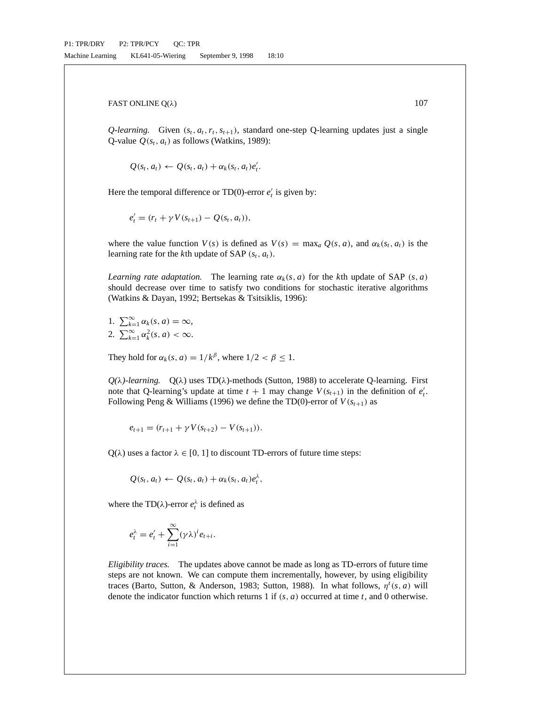*Q-learning.* Given  $(s_t, a_t, r_t, s_{t+1})$ , standard one-step Q-learning updates just a single Q-value  $Q(s_t, a_t)$  as follows (Watkins, 1989):

$$
Q(s_t, a_t) \leftarrow Q(s_t, a_t) + \alpha_k(s_t, a_t)e'_t.
$$

Here the temporal difference or TD(0)-error  $e'_t$  is given by:

$$
e'_{t} = (r_{t} + \gamma V(s_{t+1}) - Q(s_{t}, a_{t})),
$$

where the value function  $V(s)$  is defined as  $V(s) = \max_a Q(s, a)$ , and  $\alpha_k(s_t, a_t)$  is the learning rate for the *k*th update of SAP  $(s_t, a_t)$ .

*Learning rate adaptation.* The learning rate  $\alpha_k(s, a)$  for the *k*th update of SAP (*s*, *a*) should decrease over time to satisfy two conditions for stochastic iterative algorithms (Watkins & Dayan, 1992; Bertsekas & Tsitsiklis, 1996):

- 1.  $\sum_{k=1}^{\infty} \alpha_k(s, a) = \infty$ ,
- 2.  $\sum_{k=1}^{\infty} \alpha_k^2(s, a) < \infty$ .

They hold for  $\alpha_k(s, a) = 1/k^{\beta}$ , where  $1/2 < \beta \le 1$ .

 $Q(\lambda)$ -learning.  $Q(\lambda)$  uses TD( $\lambda$ )-methods (Sutton, 1988) to accelerate Q-learning. First note that Q-learning's update at time  $t + 1$  may change  $V(s_{t+1})$  in the definition of  $e_t'$ . Following Peng & Williams (1996) we define the TD(0)-error of  $V(s_{t+1})$  as

$$
e_{t+1} = (r_{t+1} + \gamma V(s_{t+2}) - V(s_{t+1})).
$$

 $Q(\lambda)$  uses a factor  $\lambda \in [0, 1]$  to discount TD-errors of future time steps:

$$
Q(s_t, a_t) \leftarrow Q(s_t, a_t) + \alpha_k(s_t, a_t) e_t^{\lambda},
$$

where the TD( $\lambda$ )-error  $e_t^{\lambda}$  is defined as

$$
e_t^{\lambda} = e_t' + \sum_{i=1}^{\infty} (\gamma \lambda)^i e_{t+i}.
$$

*Eligibility traces.* The updates above cannot be made as long as TD-errors of future time steps are not known. We can compute them incrementally, however, by using eligibility traces (Barto, Sutton, & Anderson, 1983; Sutton, 1988). In what follows,  $\eta^t(s, a)$  will denote the indicator function which returns 1 if (*s*, *a*) occurred at time *t*, and 0 otherwise.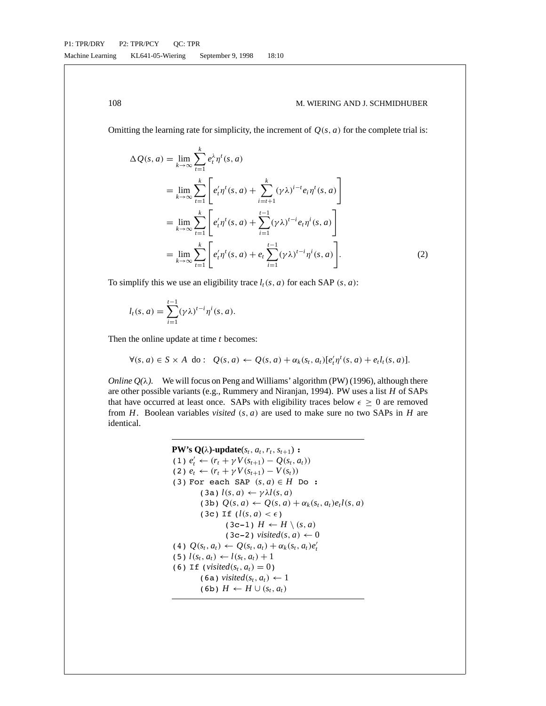Omitting the learning rate for simplicity, the increment of  $Q(s, a)$  for the complete trial is:

$$
\Delta Q(s, a) = \lim_{k \to \infty} \sum_{t=1}^{k} e_{t}^{\lambda} \eta^{t}(s, a)
$$
  
\n
$$
= \lim_{k \to \infty} \sum_{t=1}^{k} \left[ e_{t}^{\prime} \eta^{t}(s, a) + \sum_{i=t+1}^{k} (\gamma \lambda)^{i-t} e_{i} \eta^{t}(s, a) \right]
$$
  
\n
$$
= \lim_{k \to \infty} \sum_{t=1}^{k} \left[ e_{t}^{\prime} \eta^{t}(s, a) + \sum_{i=1}^{t-1} (\gamma \lambda)^{t-i} e_{i} \eta^{i}(s, a) \right]
$$
  
\n
$$
= \lim_{k \to \infty} \sum_{t=1}^{k} \left[ e_{t}^{\prime} \eta^{t}(s, a) + e_{t} \sum_{i=1}^{t-1} (\gamma \lambda)^{t-i} \eta^{i}(s, a) \right].
$$
 (2)

To simplify this we use an eligibility trace  $l_t(s, a)$  for each SAP  $(s, a)$ :

$$
l_t(s,a) = \sum_{i=1}^{t-1} (\gamma \lambda)^{t-i} \eta^i(s,a).
$$

Then the online update at time *t* becomes:

$$
\forall (s, a) \in S \times A \text{ do}: \ Q(s, a) \leftarrow Q(s, a) + \alpha_k(s_t, a_t)[e'_t \eta^t(s, a) + e_t l_t(s, a)].
$$

*Online*  $Q(\lambda)$ *.* We will focus on Peng and Williams' algorithm (PW) (1996), although there are other possible variants (e.g., Rummery and Niranjan, 1994). PW uses a list *H* of SAPs that have occurred at least once. SAPs with eligibility traces below  $\epsilon \geq 0$  are removed from *H*. Boolean variables *visited* (*s*, *a*) are used to make sure no two SAPs in *H* are identical.

**PW's Q**(
$$
\lambda
$$
)-update( $s_t, a_t, r_t, s_{t+1}$ ) :  
\n(1)  $e'_t \leftarrow (r_t + \gamma V(s_{t+1}) - Q(s_t, a_t))$   
\n(2)  $e_t \leftarrow (r_t + \gamma V(s_{t+1}) - V(s_t))$   
\n(3) For each SAP ( $s, a$ )  $\in H$  Do :  
\n(3a)  $l(s, a) \leftarrow \gamma \lambda l(s, a)$   
\n(3b)  $Q(s, a) \leftarrow Q(s, a) + \alpha_k(s_t, a_t)e_t l(s, a)$   
\n(3c) If  $(l(s, a) < \epsilon)$   
\n(3c-1)  $H \leftarrow H \setminus (s, a)$   
\n(3c-2) visited( $s, a \rightarrow 0$   
\n(4)  $Q(s_t, a_t) \leftarrow Q(s_t, a_t) + \alpha_k(s_t, a_t)e'_t$   
\n(5)  $l(s_t, a_t) \leftarrow l(s_t, a_t) + 1$   
\n(6) If (visited( $s_t, a_t$ ) = 0)  
\n(6a) visited( $s_t, a_t$ )  $\leftarrow 1$   
\n(6b)  $H \leftarrow H \cup (s_t, a_t)$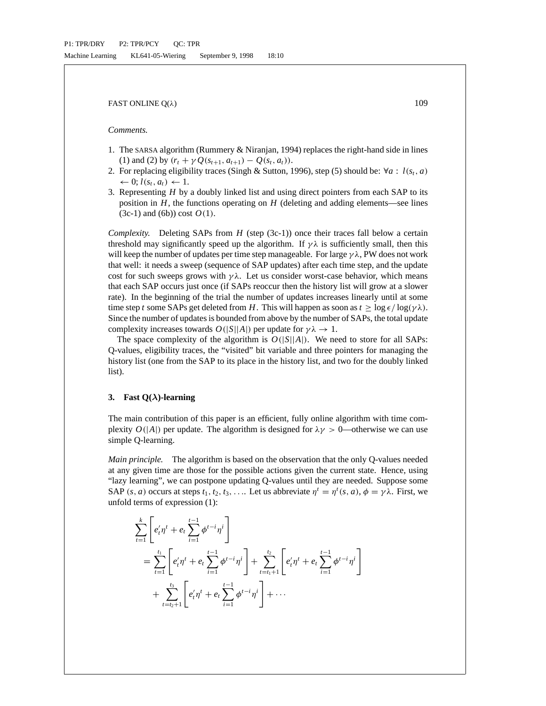# *Comments.*

- 1. The SARSA algorithm (Rummery & Niranjan, 1994) replaces the right-hand side in lines (1) and (2) by  $(r_t + \gamma O(s_{t+1}, a_{t+1}) - O(s_t, a_t)).$
- 2. For replacing eligibility traces (Singh & Sutton, 1996), step (5) should be:  $\forall a : l(s_t, a)$  $\leftarrow 0; l(s_t, a_t) \leftarrow 1.$
- 3. Representing *H* by a doubly linked list and using direct pointers from each SAP to its position in  $H$ , the functions operating on  $H$  (deleting and adding elements—see lines  $(3c-1)$  and  $(6b)$ ) cost  $O(1)$ .

*Complexity.* Deleting SAPs from *H* (step (3c-1)) once their traces fall below a certain threshold may significantly speed up the algorithm. If  $\gamma \lambda$  is sufficiently small, then this will keep the number of updates per time step manageable. For large  $\gamma \lambda$ , PW does not work that well: it needs a sweep (sequence of SAP updates) after each time step, and the update cost for such sweeps grows with  $\gamma \lambda$ . Let us consider worst-case behavior, which means that each SAP occurs just once (if SAPs reoccur then the history list will grow at a slower rate). In the beginning of the trial the number of updates increases linearly until at some time step *t* some SAPs get deleted from *H*. This will happen as soon as  $t \ge \log \epsilon / \log(\gamma \lambda)$ . Since the number of updates is bounded from above by the number of SAPs, the total update complexity increases towards  $O(|S||A|)$  per update for  $\gamma \lambda \to 1$ .

The space complexity of the algorithm is  $O(|S||A|)$ . We need to store for all SAPs: Q-values, eligibility traces, the "visited" bit variable and three pointers for managing the history list (one from the SAP to its place in the history list, and two for the doubly linked list).

## **3. Fast Q(***λ***)-learning**

The main contribution of this paper is an efficient, fully online algorithm with time complexity  $O(|A|)$  per update. The algorithm is designed for  $\lambda \gamma > 0$ —otherwise we can use simple Q-learning.

*Main principle.* The algorithm is based on the observation that the only Q-values needed at any given time are those for the possible actions given the current state. Hence, using "lazy learning", we can postpone updating Q-values until they are needed. Suppose some SAP (*s*, *a*) occurs at steps  $t_1, t_2, t_3, \ldots$  Let us abbreviate  $\eta^t = \eta^t(s, a), \phi = \gamma \lambda$ . First, we unfold terms of expression (1):

$$
\sum_{t=1}^{k} \left[ e'_t \eta^t + e_t \sum_{i=1}^{t-1} \phi^{t-i} \eta^i \right] \n= \sum_{t=1}^{t_1} \left[ e'_t \eta^t + e_t \sum_{i=1}^{t-1} \phi^{t-i} \eta^i \right] + \sum_{t=t_1+1}^{t_2} \left[ e'_t \eta^t + e_t \sum_{i=1}^{t-1} \phi^{t-i} \eta^i \right] \n+ \sum_{t=t_2+1}^{t_3} \left[ e'_t \eta^t + e_t \sum_{i=1}^{t-1} \phi^{t-i} \eta^i \right] + \cdots
$$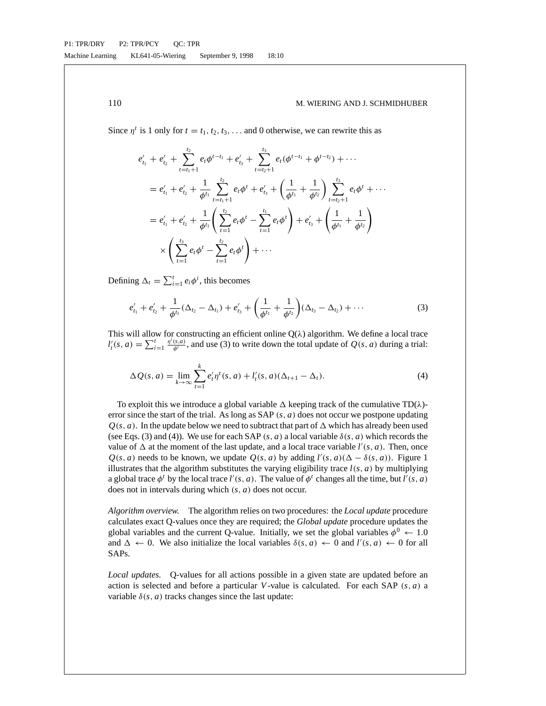Since  $\eta^t$  is 1 only for  $t = t_1, t_2, t_3, \ldots$  and 0 otherwise, we can rewrite this as

$$
e'_{t_1} + e'_{t_2} + \sum_{t=t_1+1}^{t_2} e_t \phi^{t-t_1} + e'_{t_3} + \sum_{t=t_2+1}^{t_3} e_t (\phi^{t-t_1} + \phi^{t-t_2}) + \cdots
$$
  
\n
$$
= e'_{t_1} + e'_{t_2} + \frac{1}{\phi^{t_1}} \sum_{t=t_1+1}^{t_2} e_t \phi^t + e'_{t_3} + \left(\frac{1}{\phi^{t_1}} + \frac{1}{\phi^{t_2}}\right) \sum_{t=t_2+1}^{t_3} e_t \phi^t + \cdots
$$
  
\n
$$
= e'_{t_1} + e'_{t_2} + \frac{1}{\phi^{t_1}} \left(\sum_{t=1}^{t_2} e_t \phi^t - \sum_{t=1}^{t_1} e_t \phi^t\right) + e'_{t_3} + \left(\frac{1}{\phi^{t_1}} + \frac{1}{\phi^{t_2}}\right)
$$
  
\n
$$
\times \left(\sum_{t=1}^{t_3} e_t \phi^t - \sum_{t=1}^{t_2} e_t \phi^t\right) + \cdots
$$

Defining  $\Delta_t = \sum_{i=1}^t e_i \phi^i$ , this becomes

$$
e'_{t_1} + e'_{t_2} + \frac{1}{\phi^{t_1}} (\Delta_{t_2} - \Delta_{t_1}) + e'_{t_3} + \left(\frac{1}{\phi^{t_1}} + \frac{1}{\phi^{t_2}}\right) (\Delta_{t_3} - \Delta_{t_2}) + \cdots
$$
 (3)

This will allow for constructing an efficient online  $Q(\lambda)$  algorithm. We define a local trace  $d'_{t}(s, a) = \sum_{i=1}^{t} \frac{\eta^{i}(s, a)}{\phi^{i}}$ , and use (3) to write down the total update of  $Q(s, a)$  during a trial:

$$
\Delta Q(s, a) = \lim_{k \to \infty} \sum_{t=1}^{k} e'_t \eta^t(s, a) + l'_t(s, a)(\Delta_{t+1} - \Delta_t).
$$
\n(4)

To exploit this we introduce a global variable  $\Delta$  keeping track of the cumulative TD( $\lambda$ )error since the start of the trial. As long as SAP (*s*, *a*) does not occur we postpone updating  $Q(s, a)$ . In the update below we need to subtract that part of  $\Delta$  which has already been used (see Eqs. (3) and (4)). We use for each SAP (*s*, *a*) a local variable  $\delta(s, a)$  which records the value of  $\Delta$  at the moment of the last update, and a local trace variable  $l'(s, a)$ . Then, once  $Q(s, a)$  needs to be known, we update  $Q(s, a)$  by adding  $l'(s, a)(\Delta - \delta(s, a))$ . Figure 1 illustrates that the algorithm substitutes the varying eligibility trace  $l(s, a)$  by multiplying a global trace  $\phi^t$  by the local trace  $l'(s, a)$ . The value of  $\phi^t$  changes all the time, but  $l'(s, a)$ does not in intervals during which (*s*, *a*) does not occur.

*Algorithm overview.* The algorithm relies on two procedures: the *Local update* procedure calculates exact Q-values once they are required; the *Global update* procedure updates the global variables and the current Q-value. Initially, we set the global variables  $\phi^0 \leftarrow 1.0$ and  $\Delta \leftarrow 0$ . We also initialize the local variables  $\delta(s, a) \leftarrow 0$  and  $l'(s, a) \leftarrow 0$  for all SAPs.

*Local updates.* Q-values for all actions possible in a given state are updated before an action is selected and before a particular *V*-value is calculated. For each SAP (*s*, *a*) a variable  $\delta(s, a)$  tracks changes since the last update: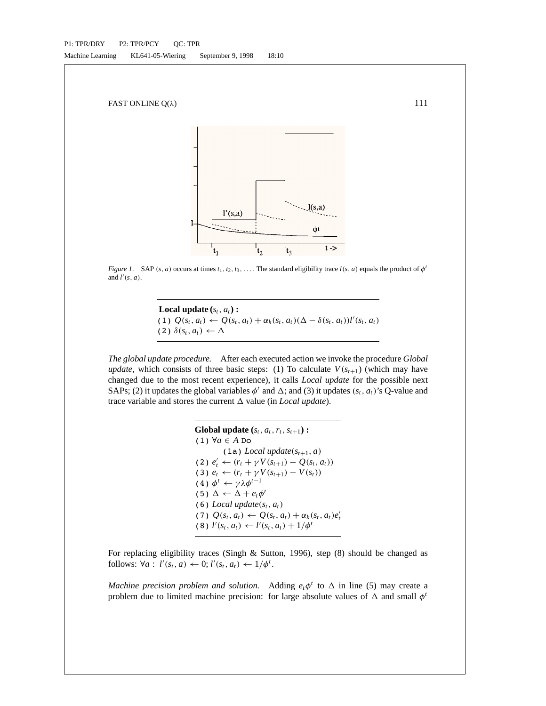

*Figure 1.* SAP (*s*, *a*) occurs at times  $t_1, t_2, t_3, \ldots$  The standard eligibility trace  $l(s, a)$  equals the product of  $\phi^t$ and  $l'(s, a)$ .

**Local update**  $(s_t, a_t)$  : (1)  $Q(s_t, a_t)$  ←  $Q(s_t, a_t) + \alpha_k(s_t, a_t)(\Delta - \delta(s_t, a_t))l'(s_t, a_t)$  $(2)$   $\delta(s_t, a_t) \leftarrow \Delta$ 

*The global update procedure.* After each executed action we invoke the procedure *Global update*, which consists of three basic steps: (1) To calculate  $V(s_{t+1})$  (which may have changed due to the most recent experience), it calls *Local update* for the possible next SAPs; (2) it updates the global variables  $\phi^t$  and  $\Delta$ ; and (3) it updates ( $s_t$ ,  $a_t$ )'s Q-value and trace variable and stores the current  $\Delta$  value (in *Local update*).

```
Global update (s_t, a_t, r_t, s_{t+1}):
(1) ∀a ∈ A Do
           (1a) Local update(s_{t+1}, a)
(2) e'_{t} ← (r_t + \gamma V(s_{t+1}) - Q(s_t, a_t))(3) e_t ← (r_t + \gamma V(s_{t+1}) - V(s_t))(4) \phi^t \leftarrow \gamma \lambda \phi^{t-1}(5) \Delta \leftarrow \Delta + e_t \phi^t(6) Local update(s_t, a_t)(7) Q(s_t, a_t) \leftarrow Q(s_t, a_t) + \alpha_k(s_t, a_t)e'_t(8) l'(s_t, a_t) \leftarrow l'(s_t, a_t) + 1/\phi^t
```
For replacing eligibility traces (Singh & Sutton, 1996), step (8) should be changed as follows:  $\forall a: l'(s_t, a) \leftarrow 0; l'(s_t, a_t) \leftarrow 1/\phi^t$ .

*Machine precision problem and solution.* Adding  $e_t\phi^t$  to  $\Delta$  in line (5) may create a problem due to limited machine precision: for large absolute values of  $\Delta$  and small  $\phi^t$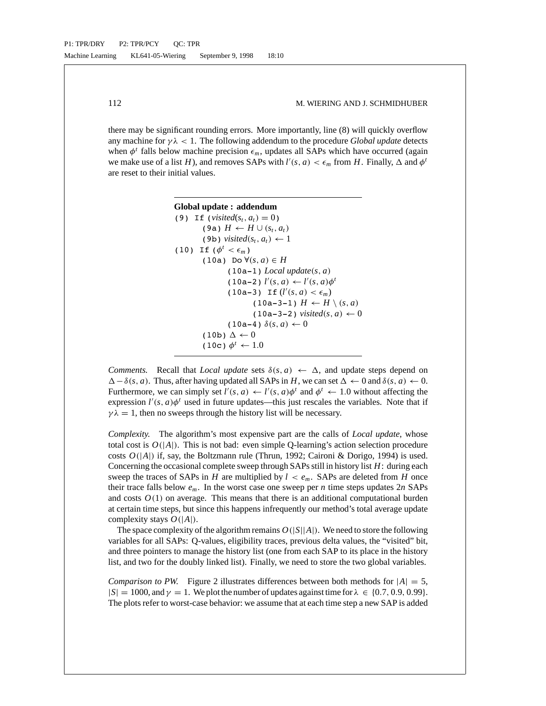there may be significant rounding errors. More importantly, line (8) will quickly overflow any machine for  $\gamma \lambda < 1$ . The following addendum to the procedure *Global update* detects when  $\phi^t$  falls below machine precision  $\epsilon_m$ , updates all SAPs which have occurred (again we make use of a list *H*), and removes SAPs with  $l'(s, a) < \epsilon_m$  from *H*. Finally,  $\Delta$  and  $\phi^t$ are reset to their initial values.

```
Global update : addendum
(9) If (visited(s_t, a_t) = 0)
         (9a) H \leftarrow H \cup (s_t, a_t)(9b) visited(s_t, a_t) \leftarrow 1
(10) If (\phi^t < \epsilon_m)(10a) Do \forall (s, a) \in H(10a-1) Local update(s, a)
                  (10a-2) l'(s, a) \leftarrow l'(s, a)\phi^t(10a-3) If (l'(s, a) < \epsilon_m)(10a-3-1) H \leftarrow H \setminus (s, a)(10a-3-2) visited(s, a) \leftarrow 0(10a-4) \delta(s, a) \leftarrow 0(10b) \Delta \leftarrow 0(10c) \phi^t \leftarrow 1.0
```
*Comments.* Recall that *Local update* sets  $\delta(s, a) \leftarrow \Delta$ , and update steps depend on  $\Delta - \delta(s, a)$ . Thus, after having updated all SAPs in *H*, we can set  $\Delta \leftarrow 0$  and  $\delta(s, a) \leftarrow 0$ . Furthermore, we can simply set  $l'(s, a) \leftarrow l'(s, a)\phi^t$  and  $\phi^t \leftarrow 1.0$  without affecting the expression  $l'(s, a)\phi^t$  used in future updates—this just rescales the variables. Note that if  $\gamma \lambda = 1$ , then no sweeps through the history list will be necessary.

*Complexity.* The algorithm's most expensive part are the calls of *Local update*, whose total cost is  $O(|A|)$ . This is not bad: even simple Q-learning's action selection procedure costs  $O(|A|)$  if, say, the Boltzmann rule (Thrun, 1992; Caironi & Dorigo, 1994) is used. Concerning the occasional complete sweep through SAPs still in history list *H*: during each sweep the traces of SAPs in *H* are multiplied by  $l < e_m$ . SAPs are deleted from *H* once their trace falls below  $e_m$ . In the worst case one sweep per *n* time steps updates  $2n$  SAPs and costs  $O(1)$  on average. This means that there is an additional computational burden at certain time steps, but since this happens infrequently our method's total average update complexity stays *O*(|*A*|).

The space complexity of the algorithm remains  $O(|S||A|)$ . We need to store the following variables for all SAPs: Q-values, eligibility traces, previous delta values, the "visited" bit, and three pointers to manage the history list (one from each SAP to its place in the history list, and two for the doubly linked list). Finally, we need to store the two global variables.

*Comparison to PW.* Figure 2 illustrates differences between both methods for  $|A| = 5$ ,  $|S| = 1000$ , and  $\gamma = 1$ . We plot the number of updates against time for  $\lambda \in \{0.7, 0.9, 0.99\}$ . The plots refer to worst-case behavior: we assume that at each time step a new SAP is added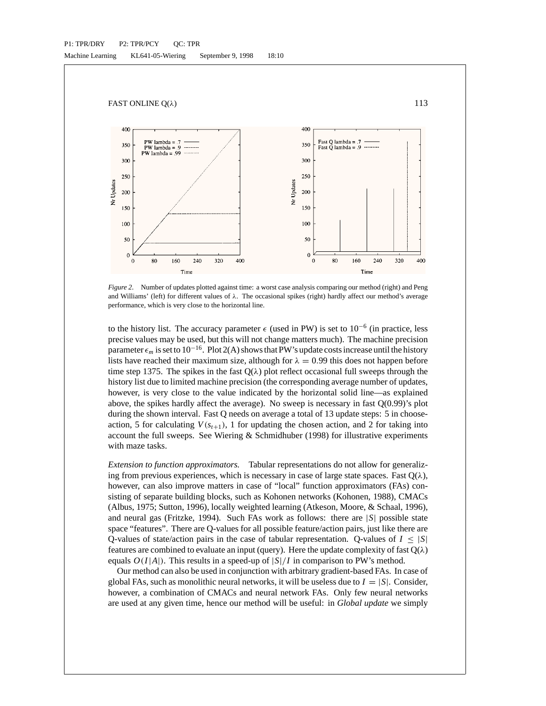

*Figure 2*. Number of updates plotted against time: a worst case analysis comparing our method (right) and Peng and Williams' (left) for different values of  $\lambda$ . The occasional spikes (right) hardly affect our method's average performance, which is very close to the horizontal line.

to the history list. The accuracy parameter  $\epsilon$  (used in PW) is set to 10<sup>-6</sup> (in practice, less precise values may be used, but this will not change matters much). The machine precision parameter  $\epsilon_m$  is set to 10<sup>-16</sup>. Plot 2(A) shows that PW's update costs increase until the history lists have reached their maximum size, although for  $\lambda = 0.99$  this does not happen before time step 1375. The spikes in the fast  $Q(\lambda)$  plot reflect occasional full sweeps through the history list due to limited machine precision (the corresponding average number of updates, however, is very close to the value indicated by the horizontal solid line—as explained above, the spikes hardly affect the average). No sweep is necessary in fast  $Q(0.99)$ 's plot during the shown interval. Fast Q needs on average a total of 13 update steps: 5 in chooseaction, 5 for calculating  $V(s_{t+1})$ , 1 for updating the chosen action, and 2 for taking into account the full sweeps. See Wiering  $&$  Schmidhuber (1998) for illustrative experiments with maze tasks.

*Extension to function approximators.* Tabular representations do not allow for generalizing from previous experiences, which is necessary in case of large state spaces. Fast  $O(\lambda)$ , however, can also improve matters in case of "local" function approximators (FAs) consisting of separate building blocks, such as Kohonen networks (Kohonen, 1988), CMACs (Albus, 1975; Sutton, 1996), locally weighted learning (Atkeson, Moore, & Schaal, 1996), and neural gas (Fritzke, 1994). Such FAs work as follows: there are |*S*| possible state space "features". There are Q-values for all possible feature/action pairs, just like there are Q-values of state/action pairs in the case of tabular representation. Q-values of  $I \leq |S|$ features are combined to evaluate an input (query). Here the update complexity of fast  $Q(\lambda)$ equals  $O(I|A|)$ . This results in a speed-up of  $|S|/I$  in comparison to PW's method.

Our method can also be used in conjunction with arbitrary gradient-based FAs. In case of global FAs, such as monolithic neural networks, it will be useless due to  $I = |S|$ . Consider, however, a combination of CMACs and neural network FAs. Only few neural networks are used at any given time, hence our method will be useful: in *Global update* we simply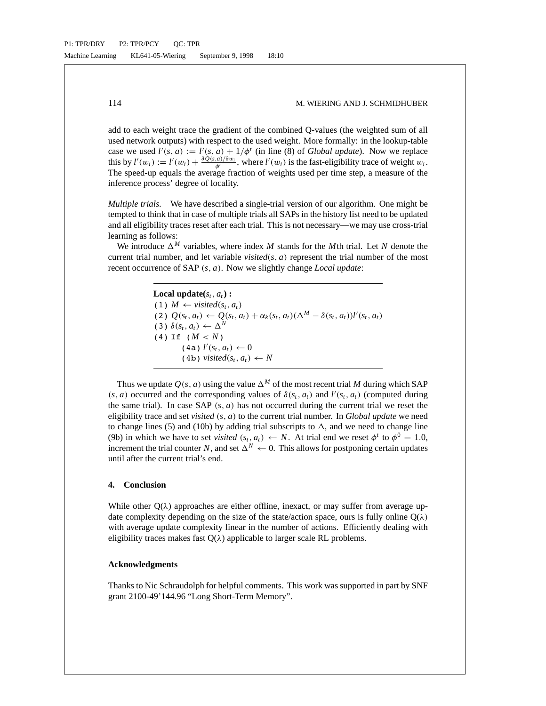add to each weight trace the gradient of the combined Q-values (the weighted sum of all used network outputs) with respect to the used weight. More formally: in the lookup-table case we used  $l'(s, a) := l'(s, a) + 1/\phi^t$  (in line (8) of *Global update*). Now we replace this by  $l'(w_i) := l'(w_i) + \frac{\partial Q(s, a)/\partial w_i}{\phi'}$ , where  $l'(w_i)$  is the fast-eligibility trace of weight  $w_i$ . The speed-up equals the average fraction of weights used per time step, a measure of the inference process' degree of locality.

*Multiple trials.* We have described a single-trial version of our algorithm. One might be tempted to think that in case of multiple trials all SAPs in the history list need to be updated and all eligibility traces reset after each trial. This is not necessary—we may use cross-trial learning as follows:

We introduce  $\Delta^M$  variables, where index *M* stands for the *M*th trial. Let *N* denote the current trial number, and let variable *visited*( $s$ ,  $a$ ) represent the trial number of the most recent occurrence of SAP (*s*, *a*). Now we slightly change *Local update*:

> **Local update** $(s_t, a_t)$ : (1)  $M \leftarrow visited(s_t, a_t)$ (2)  $Q(s_t, a_t)$  ←  $Q(s_t, a_t) + \alpha_k(s_t, a_t)(\Delta^M - \delta(s_t, a_t))l'(s_t, a_t)$  $(3)$   $\delta(s_t, a_t) \leftarrow \Delta^N$ (4) If  $(M < N)$  $(4a)$   $l'(s_t, a_t) \leftarrow 0$  $(4b)$  *visited* $(s_t, a_t) \leftarrow N$

Thus we update  $Q(s, a)$  using the value  $\Delta^M$  of the most recent trial M during which SAP  $(s, a)$  occurred and the corresponding values of  $\delta(s_t, a_t)$  and  $l'(s_t, a_t)$  (computed during the same trial). In case SAP  $(s, a)$  has not occurred during the current trial we reset the eligibility trace and set *visited* (*s*, *a*) to the current trial number. In *Global update* we need to change lines (5) and (10b) by adding trial subscripts to  $\Delta$ , and we need to change line (9b) in which we have to set *visited*  $(s_t, a_t) \leftarrow N$ . At trial end we reset  $\phi^t$  to  $\phi^0 = 1.0$ , increment the trial counter *N*, and set  $\Delta^N \leftarrow 0$ . This allows for postponing certain updates until after the current trial's end.

# **4. Conclusion**

While other  $Q(\lambda)$  approaches are either offline, inexact, or may suffer from average update complexity depending on the size of the state/action space, ours is fully online  $Q(\lambda)$ with average update complexity linear in the number of actions. Efficiently dealing with eligibility traces makes fast  $O(\lambda)$  applicable to larger scale RL problems.

#### **Acknowledgments**

Thanks to Nic Schraudolph for helpful comments. This work was supported in part by SNF grant 2100-49'144.96 "Long Short-Term Memory".